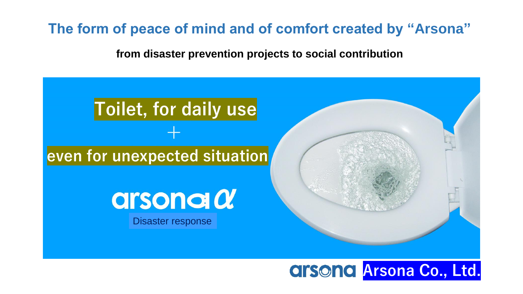### **The form of peace of mind and of comfort created by "Arsona"**

**from disaster prevention projects to social contribution**



### **Arsona Co., Ltd.**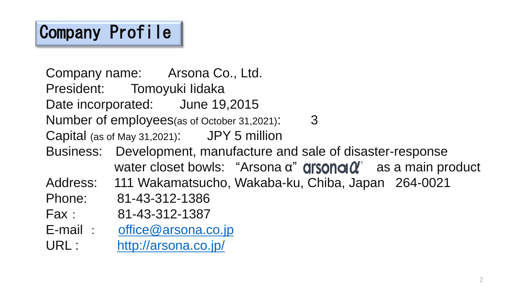# Company Profile

Company name: Arsona Co., Ltd. President: Tomoyuki Iidaka Date incorporated: June 19,2015 Number of employees(as of October 31,2021): 3 Capital (as of May 31,2021): JPY 5 million

- Business: Development, manufacture and sale of disaster-response water closet bowls: "Arsona  $\alpha$ " **arsona**  $\alpha$ " as a main product
- Address: 111 Wakamatsucho, Wakaba-ku, Chiba, Japan 264-0021
- Phone: 81-43-312-1386
- Fax: 81-43-312-1387
- E-mail : [office@arsona.co.jp](mailto:office@arsona.co.jp)

URL : <http://arsona.co.jp/>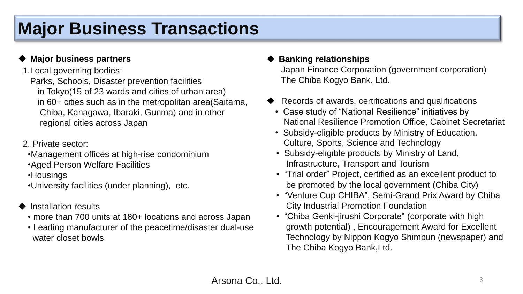# **Major Business Transactions**

#### **Major business partners**

#### 1.Local governing bodies:

Parks, Schools, Disaster prevention facilities in Tokyo(15 of 23 wards and cities of urban area) in 60+ cities such as in the metropolitan area(Saitama, Chiba, Kanagawa, Ibaraki, Gunma) and in other regional cities across Japan

- 2. Private sector:
- •Management offices at high-rise condominium
- •Aged Person Welfare Facilities

•Housings

- •University facilities (under planning), etc.
- Installation results
	- more than 700 units at 180+ locations and across Japan
	- Leading manufacturer of the peacetime/disaster dual-use water closet bowls

#### ◆ **Banking relationships** Japan Finance Corporation (government corporation) The Chiba Kogyo Bank, Ltd.

- $\blacklozenge$  Records of awards, certifications and qualifications
	- Case study of "National Resilience" initiatives by National Resilience Promotion Office, Cabinet Secretariat
	- Subsidy-eligible products by Ministry of Education, Culture, Sports, Science and Technology
	- Subsidy-eligible products by Ministry of Land, Infrastructure, Transport and Tourism
	- "Trial order" Project, certified as an excellent product to be promoted by the local government (Chiba City)
	- "Venture Cup CHIBA", Semi-Grand Prix Award by Chiba City Industrial Promotion Foundation
	- "Chiba Genki-jirushi Corporate" (corporate with high growth potential) , Encouragement Award for Excellent Technology by Nippon Kogyo Shimbun (newspaper) and The Chiba Kogyo Bank,Ltd.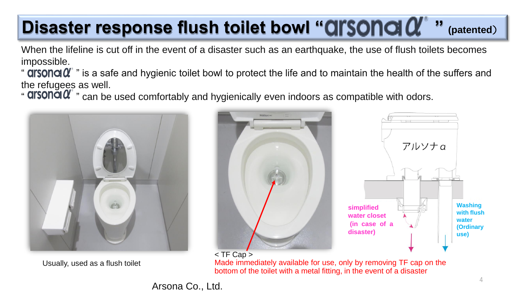# **Disaster response flush toilet bowl "CITSONOI Of "** (patented)

When the lifeline is cut off in the event of a disaster such as an earthquake, the use of flush toilets becomes impossible.

" **arsona**  $\alpha$ " " is a safe and hygienic toilet bowl to protect the life and to maintain the health of the suffers and the refugees as well.

"  $\arcsin \alpha'$ " can be used comfortably and hygienically even indoors as compatible with odors.



Usually, used as a flush toilet





Made immediately available for use, only by removing TF cap on the bottom of the toilet with a metal fitting, in the event of a disaster

Arsona Co., Ltd.